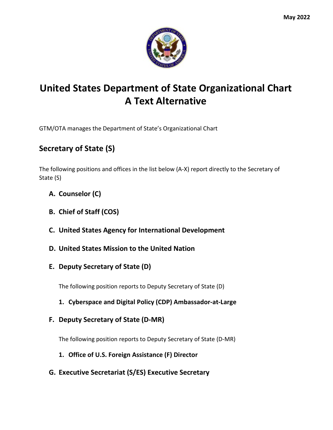

## **United States Department of State Organizational Chart A Text Alternative**

GTM/OTA manages the Department of State's Organizational Chart

## **Secretary of State (S)**

The following positions and offices in the list below (A-X) report directly to the Secretary of State (S)

- **A. Counselor (C)**
- **B. Chief of Staff (COS)**
- **C. United States Agency for International Development**
- **D. United States Mission to the United Nation**
- **E. Deputy Secretary of State (D)**

The following position reports to Deputy Secretary of State (D)

- **1. Cyberspace and Digital Policy (CDP) Ambassador-at-Large**
- **F. Deputy Secretary of State (D-MR)**

The following position reports to Deputy Secretary of State (D-MR)

- **1. Office of U.S. Foreign Assistance (F) Director**
- **G. Executive Secretariat (S/ES) Executive Secretary**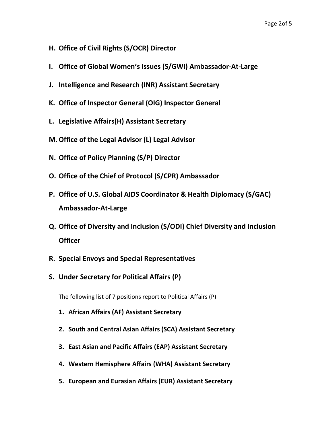- **H. Office of Civil Rights (S/OCR) Director**
- **I. Office of Global Women's Issues (S/GWI) Ambassador-At-Large**
- **J. Intelligence and Research (INR) Assistant Secretary**
- **K. Office of Inspector General (OIG) Inspector General**
- **L. Legislative Affairs(H) Assistant Secretary**
- **M.Office of the Legal Advisor (L) Legal Advisor**
- **N. Office of Policy Planning (S/P) Director**
- **O. Office of the Chief of Protocol (S/CPR) Ambassador**
- **P. Office of U.S. Global AIDS Coordinator & Health Diplomacy (S/GAC) Ambassador-At-Large**
- **Q. Office of Diversity and Inclusion (S/ODI) Chief Diversity and Inclusion Officer**
- **R. Special Envoys and Special Representatives**
- **S. Under Secretary for Political Affairs (P)**

The following list of 7 positions report to Political Affairs (P)

- **1. African Affairs (AF) Assistant Secretary**
- **2. South and Central Asian Affairs (SCA) Assistant Secretary**
- **3. East Asian and Pacific Affairs (EAP) Assistant Secretary**
- **4. Western Hemisphere Affairs (WHA) Assistant Secretary**
- **5. European and Eurasian Affairs (EUR) Assistant Secretary**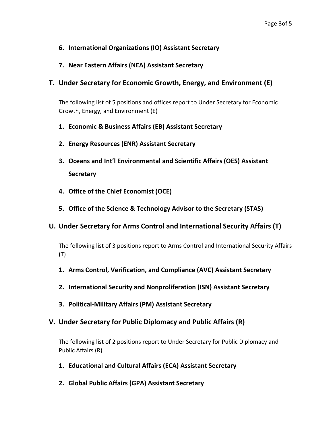- **6. International Organizations (IO) Assistant Secretary**
- **7. Near Eastern Affairs (NEA) Assistant Secretary**
- **T. Under Secretary for Economic Growth, Energy, and Environment (E)**

The following list of 5 positions and offices report to Under Secretary for Economic Growth, Energy, and Environment (E)

- **1. Economic & Business Affairs (EB) Assistant Secretary**
- **2. Energy Resources (ENR) Assistant Secretary**
- **3. Oceans and Int'l Environmental and Scientific Affairs (OES) Assistant Secretary**
- **4. Office of the Chief Economist (OCE)**
- **5. Office of the Science & Technology Advisor to the Secretary (STAS)**

## **U. Under Secretary for Arms Control and International Security Affairs (T)**

The following list of 3 positions report to Arms Control and International Security Affairs (T)

- **1. Arms Control, Verification, and Compliance (AVC) Assistant Secretary**
- **2. International Security and Nonproliferation (ISN) Assistant Secretary**
- **3. Political-Military Affairs (PM) Assistant Secretary**
- **V. Under Secretary for Public Diplomacy and Public Affairs (R)**

The following list of 2 positions report to Under Secretary for Public Diplomacy and Public Affairs (R)

- **1. Educational and Cultural Affairs (ECA) Assistant Secretary**
- **2. Global Public Affairs (GPA) Assistant Secretary**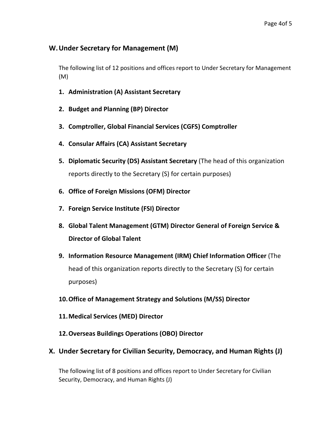## **W.Under Secretary for Management (M)**

The following list of 12 positions and offices report to Under Secretary for Management (M)

- **1. Administration (A) Assistant Secretary**
- **2. Budget and Planning (BP) Director**
- **3. Comptroller, Global Financial Services (CGFS) Comptroller**
- **4. Consular Affairs (CA) Assistant Secretary**
- **5. Diplomatic Security (DS) Assistant Secretary** (The head of this organization reports directly to the Secretary (S) for certain purposes)
- **6. Office of Foreign Missions (OFM) Director**
- **7. Foreign Service Institute (FSI) Director**
- **8. Global Talent Management (GTM) Director General of Foreign Service & Director of Global Talent**
- **9. Information Resource Management (IRM) Chief Information Officer** (The head of this organization reports directly to the Secretary (S) for certain purposes)
- **10.Office of Management Strategy and Solutions (M/SS) Director**
- **11.Medical Services (MED) Director**
- **12.Overseas Buildings Operations (OBO) Director**
- **X. Under Secretary for Civilian Security, Democracy, and Human Rights (J)**

The following list of 8 positions and offices report to Under Secretary for Civilian Security, Democracy, and Human Rights (J)